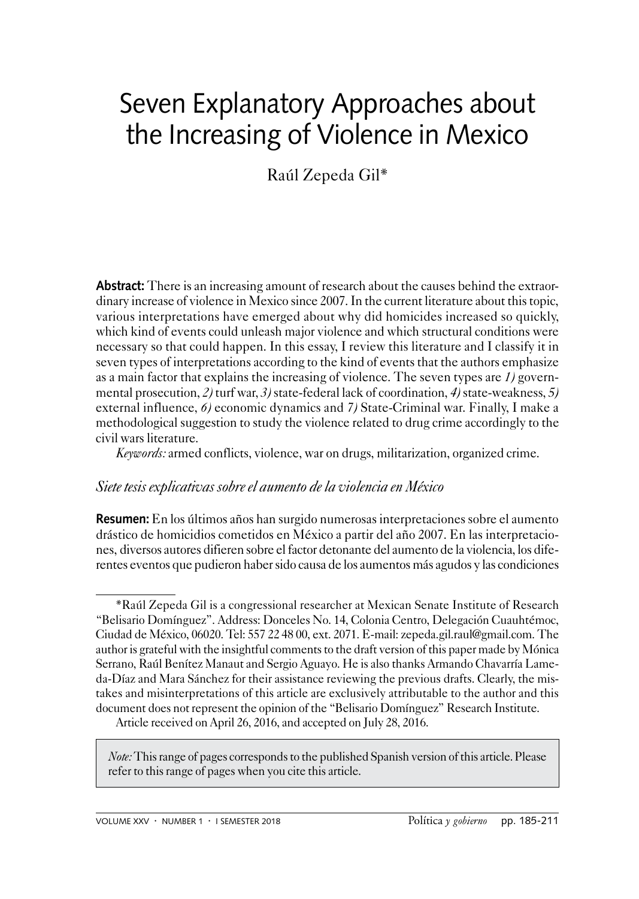# Seven Explanatory Approaches about the Increasing of Violence in Mexico

Raúl Zepeda Gil\*

Abstract: There is an increasing amount of research about the causes behind the extraordinary increase of violence in Mexico since 2007. In the current literature about this topic, various interpretations have emerged about why did homicides increased so quickly, which kind of events could unleash major violence and which structural conditions were necessary so that could happen. In this essay, I review this literature and I classify it in seven types of interpretations according to the kind of events that the authors emphasize as a main factor that explains the increasing of violence. The seven types are *1)* governmental prosecution, *2)* turf war, *3)* state-federal lack of coordination, *4)* state-weakness, *5)* external influence, *6)* economic dynamics and *7)* State-Criminal war. Finally, I make a methodological suggestion to study the violence related to drug crime accordingly to the civil wars literature.

*Keywords:* armed conflicts, violence, war on drugs, militarization, organized crime.

#### *Siete tesis explicativas sobre el aumento de la violencia en México*

**Resumen:** En los últimos años han surgido numerosas interpretaciones sobre el aumento drástico de homicidios cometidos en México a partir del año 2007. En las interpretaciones, diversos autores difieren sobre el factor detonante del aumento de la violencia, los diferentes eventos que pudieron haber sido causa de los aumentos más agudos y las condiciones

*Note:* This range of pages corresponds to the published Spanish version of this article. Please refer to this range of pages when you cite this article.

<sup>\*</sup>Raúl Zepeda Gil is a congressional researcher at Mexican Senate Institute of Research "Belisario Domínguez". Address: Donceles No. 14, Colonia Centro, Delegación Cuauhtémoc, Ciudad de México, 06020. Tel: 557 22 48 00, ext. 2071. E-mail: zepeda.gil.raul@gmail.com. The author is grateful with the insightful comments to the draft version of this paper made by Mónica Serrano, Raúl Benítez Manaut and Sergio Aguayo. He is also thanks Armando Chavarría Lameda-Díaz and Mara Sánchez for their assistance reviewing the previous drafts. Clearly, the mistakes and misinterpretations of this article are exclusively attributable to the author and this document does not represent the opinion of the "Belisario Domínguez" Research Institute.

Article received on April 26, 2016, and accepted on July 28, 2016.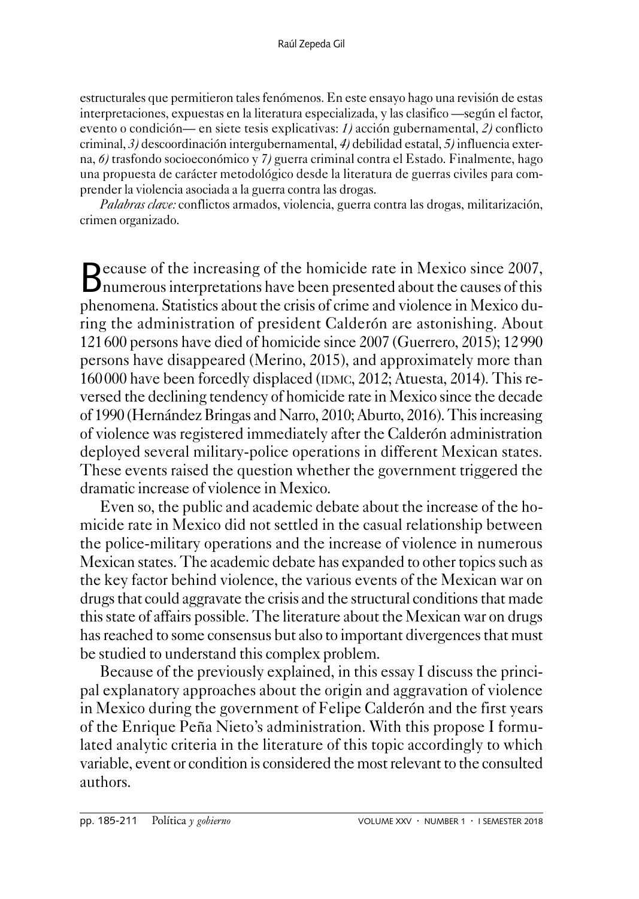estructurales que permitieron tales fenómenos. En este ensayo hago una revisión de estas interpretaciones, expuestas en la literatura especializada, y las clasifico —según el factor, evento o condición— en siete tesis explicativas: *1)* acción gubernamental, *2)* conflicto criminal, *3)* descoordinación intergubernamental, *4)* debilidad estatal, *5)* influencia externa, *6)* trasfondo socioeconómico y *7)* guerra criminal contra el Estado. Finalmente, hago una propuesta de carácter metodológico desde la literatura de guerras civiles para comprender la violencia asociada a la guerra contra las drogas.

*Palabras clave:* conflictos armados, violencia, guerra contra las drogas, militarización, crimen organizado.

Because of the increasing of the homicide rate in Mexico since 2007, numerous interpretations have been presented about the causes of this phenomena. Statistics about the crisis of crime and violence in Mexico during the administration of president Calderón are astonishing. About 121600 persons have died of homicide since 2007 (Guerrero, 2015); 12990 persons have disappeared (Merino, 2015), and approximately more than 160000 have been forcedly displaced (IDMC, 2012; Atuesta, 2014). This reversed the declining tendency of homicide rate in Mexico since the decade of 1990 (Hernández Bringas and Narro, 2010; Aburto, 2016). This increasing of violence was registered immediately after the Calderón administration deployed several military-police operations in different Mexican states. These events raised the question whether the government triggered the dramatic increase of violence in Mexico.

Even so, the public and academic debate about the increase of the homicide rate in Mexico did not settled in the casual relationship between the police-military operations and the increase of violence in numerous Mexican states. The academic debate has expanded to other topics such as the key factor behind violence, the various events of the Mexican war on drugs that could aggravate the crisis and the structural conditions that made this state of affairs possible. The literature about the Mexican war on drugs has reached to some consensus but also to important divergences that must be studied to understand this complex problem.

Because of the previously explained, in this essay I discuss the principal explanatory approaches about the origin and aggravation of violence in Mexico during the government of Felipe Calderón and the first years of the Enrique Peña Nieto's administration. With this propose I formulated analytic criteria in the literature of this topic accordingly to which variable, event or condition is considered the most relevant to the consulted authors.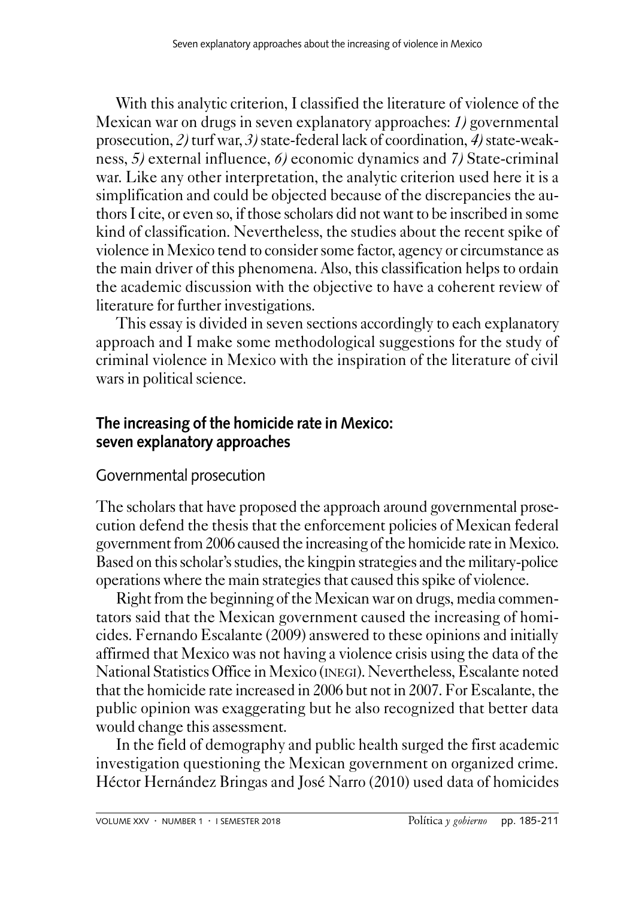With this analytic criterion, I classified the literature of violence of the Mexican war on drugs in seven explanatory approaches: *1)* governmental prosecution, *2)* turf war, *3)* state-federal lack of coordination, *4)* state-weakness, *5)* external influence, *6)* economic dynamics and *7)* State-criminal war. Like any other interpretation, the analytic criterion used here it is a simplification and could be objected because of the discrepancies the authors I cite, or even so, if those scholars did not want to be inscribed in some kind of classification. Nevertheless, the studies about the recent spike of violence in Mexico tend to consider some factor, agency or circumstance as the main driver of this phenomena. Also, this classification helps to ordain the academic discussion with the objective to have a coherent review of literature for further investigations.

This essay is divided in seven sections accordingly to each explanatory approach and I make some methodological suggestions for the study of criminal violence in Mexico with the inspiration of the literature of civil wars in political science.

# **The increasing of the homicide rate in Mexico: seven explanatory approaches**

# Governmental prosecution

The scholars that have proposed the approach around governmental prosecution defend the thesis that the enforcement policies of Mexican federal government from 2006 caused the increasing of the homicide rate in Mexico. Based on this scholar's studies, the kingpin strategies and the military-police operations where the main strategies that caused this spike of violence.

Right from the beginning of the Mexican war on drugs, media commentators said that the Mexican government caused the increasing of homicides. Fernando Escalante (2009) answered to these opinions and initially affirmed that Mexico was not having a violence crisis using the data of the National Statistics Office in Mexico (inegi). Nevertheless, Escalante noted that the homicide rate increased in 2006 but not in 2007. For Escalante, the public opinion was exaggerating but he also recognized that better data would change this assessment.

In the field of demography and public health surged the first academic investigation questioning the Mexican government on organized crime. Héctor Hernández Bringas and José Narro (2010) used data of homicides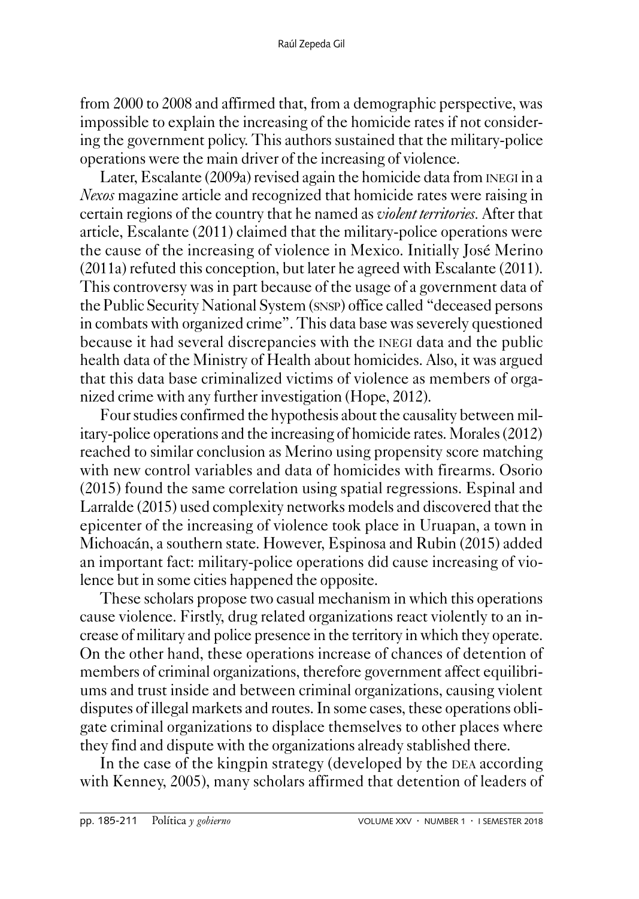from 2000 to 2008 and affirmed that, from a demographic perspective, was impossible to explain the increasing of the homicide rates if not considering the government policy. This authors sustained that the military-police operations were the main driver of the increasing of violence.

Later, Escalante (2009a) revised again the homicide data from inegi in a *Nexos* magazine article and recognized that homicide rates were raising in certain regions of the country that he named as *violent territories.* After that article, Escalante (2011) claimed that the military-police operations were the cause of the increasing of violence in Mexico. Initially José Merino (2011a) refuted this conception, but later he agreed with Escalante (2011). This controversy was in part because of the usage of a government data of the Public Security National System (snsp) office called "deceased persons in combats with organized crime". This data base was severely questioned because it had several discrepancies with the inegi data and the public health data of the Ministry of Health about homicides. Also, it was argued that this data base criminalized victims of violence as members of organized crime with any further investigation (Hope, 2012).

Four studies confirmed the hypothesis about the causality between military-police operations and the increasing of homicide rates. Morales (2012) reached to similar conclusion as Merino using propensity score matching with new control variables and data of homicides with firearms. Osorio (2015) found the same correlation using spatial regressions. Espinal and Larralde (2015) used complexity networks models and discovered that the epicenter of the increasing of violence took place in Uruapan, a town in Michoacán, a southern state. However, Espinosa and Rubin (2015) added an important fact: military-police operations did cause increasing of violence but in some cities happened the opposite.

These scholars propose two casual mechanism in which this operations cause violence. Firstly, drug related organizations react violently to an increase of military and police presence in the territory in which they operate. On the other hand, these operations increase of chances of detention of members of criminal organizations, therefore government affect equilibriums and trust inside and between criminal organizations, causing violent disputes of illegal markets and routes. In some cases, these operations obligate criminal organizations to displace themselves to other places where they find and dispute with the organizations already stablished there.

In the case of the kingpin strategy (developed by the DEA according with Kenney, 2005), many scholars affirmed that detention of leaders of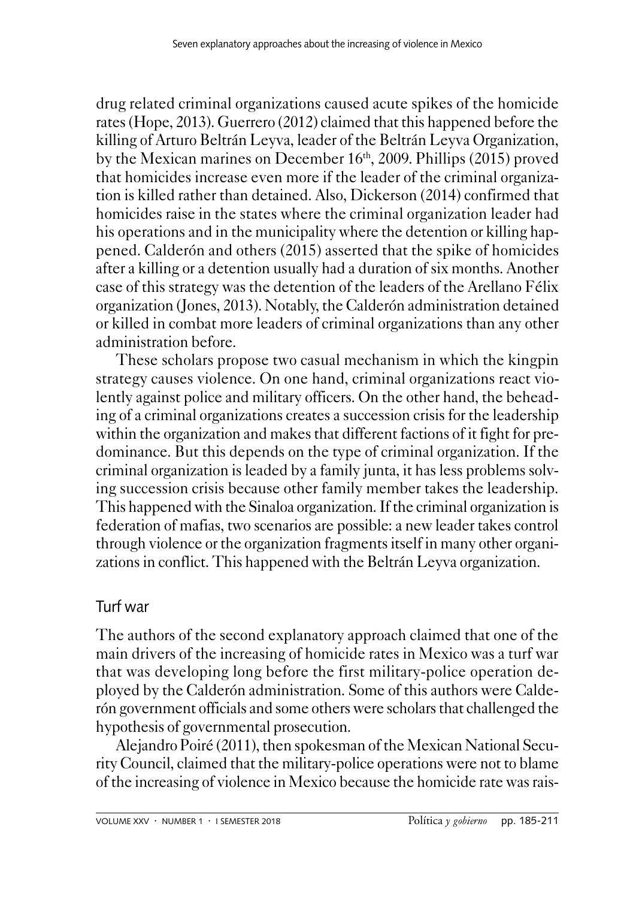drug related criminal organizations caused acute spikes of the homicide rates (Hope, 2013). Guerrero (2012) claimed that this happened before the killing of Arturo Beltrán Leyva, leader of the Beltrán Leyva Organization, by the Mexican marines on December 16th, 2009. Phillips (2015) proved that homicides increase even more if the leader of the criminal organization is killed rather than detained. Also, Dickerson (2014) confirmed that homicides raise in the states where the criminal organization leader had his operations and in the municipality where the detention or killing happened. Calderón and others (2015) asserted that the spike of homicides after a killing or a detention usually had a duration of six months. Another case of this strategy was the detention of the leaders of the Arellano Félix organization (Jones, 2013). Notably, the Calderón administration detained or killed in combat more leaders of criminal organizations than any other administration before.

These scholars propose two casual mechanism in which the kingpin strategy causes violence. On one hand, criminal organizations react violently against police and military officers. On the other hand, the beheading of a criminal organizations creates a succession crisis for the leadership within the organization and makes that different factions of it fight for predominance. But this depends on the type of criminal organization. If the criminal organization is leaded by a family junta, it has less problems solving succession crisis because other family member takes the leadership. This happened with the Sinaloa organization. If the criminal organization is federation of mafias, two scenarios are possible: a new leader takes control through violence or the organization fragments itself in many other organizations in conflict. This happened with the Beltrán Leyva organization.

# Turf war

The authors of the second explanatory approach claimed that one of the main drivers of the increasing of homicide rates in Mexico was a turf war that was developing long before the first military-police operation deployed by the Calderón administration. Some of this authors were Calderón government officials and some others were scholars that challenged the hypothesis of governmental prosecution.

Alejandro Poiré (2011), then spokesman of the Mexican National Security Council, claimed that the military-police operations were not to blame of the increasing of violence in Mexico because the homicide rate was rais-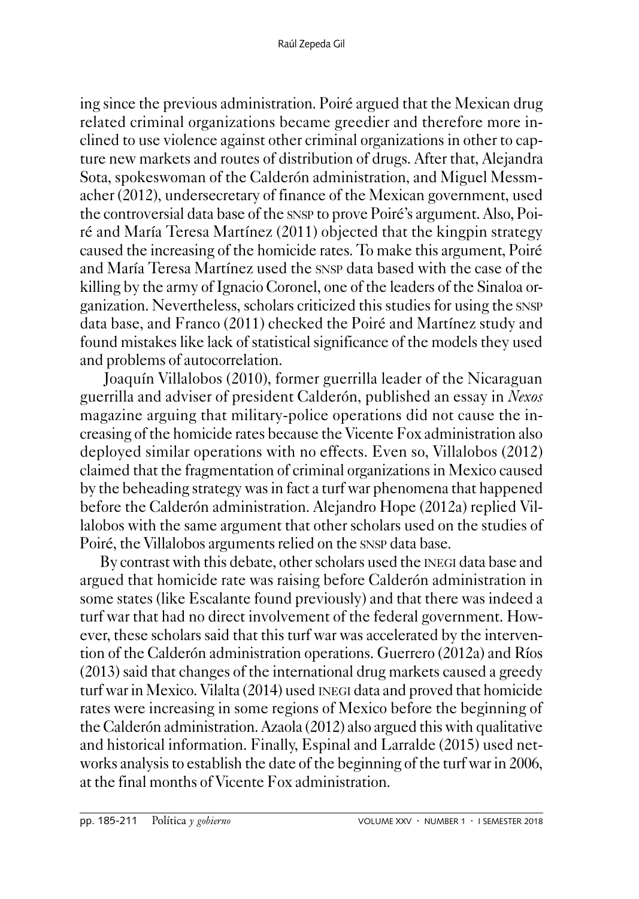ing since the previous administration. Poiré argued that the Mexican drug related criminal organizations became greedier and therefore more inclined to use violence against other criminal organizations in other to capture new markets and routes of distribution of drugs. After that, Alejandra Sota, spokeswoman of the Calderón administration, and Miguel Messmacher (2012), undersecretary of finance of the Mexican government, used the controversial data base of the snsp to prove Poiré's argument. Also, Poiré and María Teresa Martínez (2011) objected that the kingpin strategy caused the increasing of the homicide rates. To make this argument, Poiré and María Teresa Martínez used the snsp data based with the case of the killing by the army of Ignacio Coronel, one of the leaders of the Sinaloa organization. Nevertheless, scholars criticized this studies for using the snsp data base, and Franco (2011) checked the Poiré and Martínez study and found mistakes like lack of statistical significance of the models they used and problems of autocorrelation.

 Joaquín Villalobos (2010), former guerrilla leader of the Nicaraguan guerrilla and adviser of president Calderón, published an essay in *Nexos* magazine arguing that military-police operations did not cause the increasing of the homicide rates because the Vicente Fox administration also deployed similar operations with no effects. Even so, Villalobos (2012) claimed that the fragmentation of criminal organizations in Mexico caused by the beheading strategy was in fact a turf war phenomena that happened before the Calderón administration. Alejandro Hope (2012a) replied Villalobos with the same argument that other scholars used on the studies of Poiré, the Villalobos arguments relied on the snsp data base.

By contrast with this debate, other scholars used the inegi data base and argued that homicide rate was raising before Calderón administration in some states (like Escalante found previously) and that there was indeed a turf war that had no direct involvement of the federal government. However, these scholars said that this turf war was accelerated by the intervention of the Calderón administration operations. Guerrero (2012a) and Ríos (2013) said that changes of the international drug markets caused a greedy turf war in Mexico. Vilalta (2014) used inegi data and proved that homicide rates were increasing in some regions of Mexico before the beginning of the Calderón administration. Azaola (2012) also argued this with qualitative and historical information. Finally, Espinal and Larralde (2015) used networks analysis to establish the date of the beginning of the turf war in 2006, at the final months of Vicente Fox administration.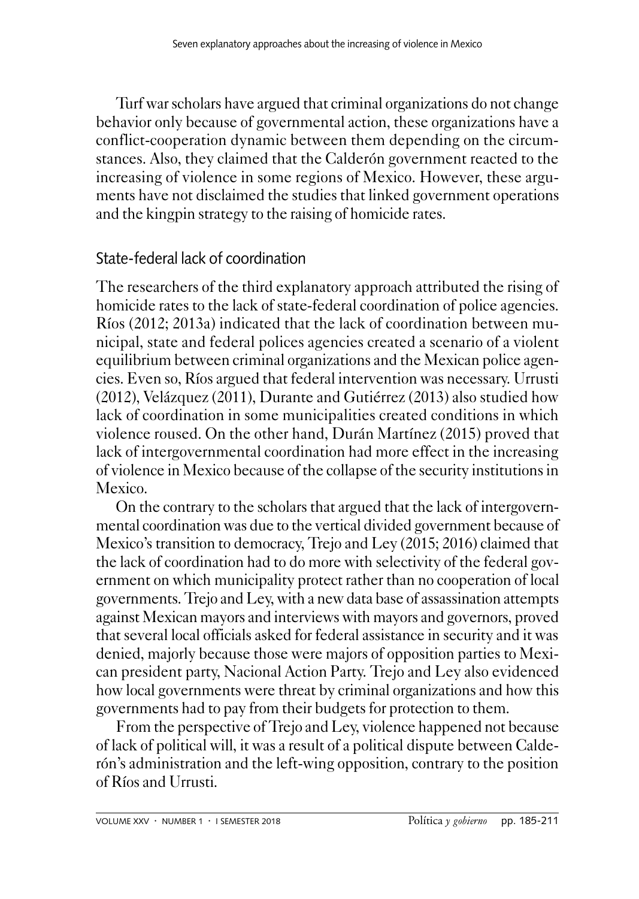Turf war scholars have argued that criminal organizations do not change behavior only because of governmental action, these organizations have a conflict-cooperation dynamic between them depending on the circumstances. Also, they claimed that the Calderón government reacted to the increasing of violence in some regions of Mexico. However, these arguments have not disclaimed the studies that linked government operations and the kingpin strategy to the raising of homicide rates.

#### State-federal lack of coordination

The researchers of the third explanatory approach attributed the rising of homicide rates to the lack of state-federal coordination of police agencies. Ríos (2012; 2013a) indicated that the lack of coordination between municipal, state and federal polices agencies created a scenario of a violent equilibrium between criminal organizations and the Mexican police agencies. Even so, Ríos argued that federal intervention was necessary. Urrusti (2012), Velázquez (2011), Durante and Gutiérrez (2013) also studied how lack of coordination in some municipalities created conditions in which violence roused. On the other hand, Durán Martínez (2015) proved that lack of intergovernmental coordination had more effect in the increasing of violence in Mexico because of the collapse of the security institutions in Mexico.

On the contrary to the scholars that argued that the lack of intergovernmental coordination was due to the vertical divided government because of Mexico's transition to democracy, Trejo and Ley (2015; 2016) claimed that the lack of coordination had to do more with selectivity of the federal government on which municipality protect rather than no cooperation of local governments. Trejo and Ley, with a new data base of assassination attempts against Mexican mayors and interviews with mayors and governors, proved that several local officials asked for federal assistance in security and it was denied, majorly because those were majors of opposition parties to Mexican president party, Nacional Action Party. Trejo and Ley also evidenced how local governments were threat by criminal organizations and how this governments had to pay from their budgets for protection to them.

From the perspective of Trejo and Ley, violence happened not because of lack of political will, it was a result of a political dispute between Calderón's administration and the left-wing opposition, contrary to the position of Ríos and Urrusti.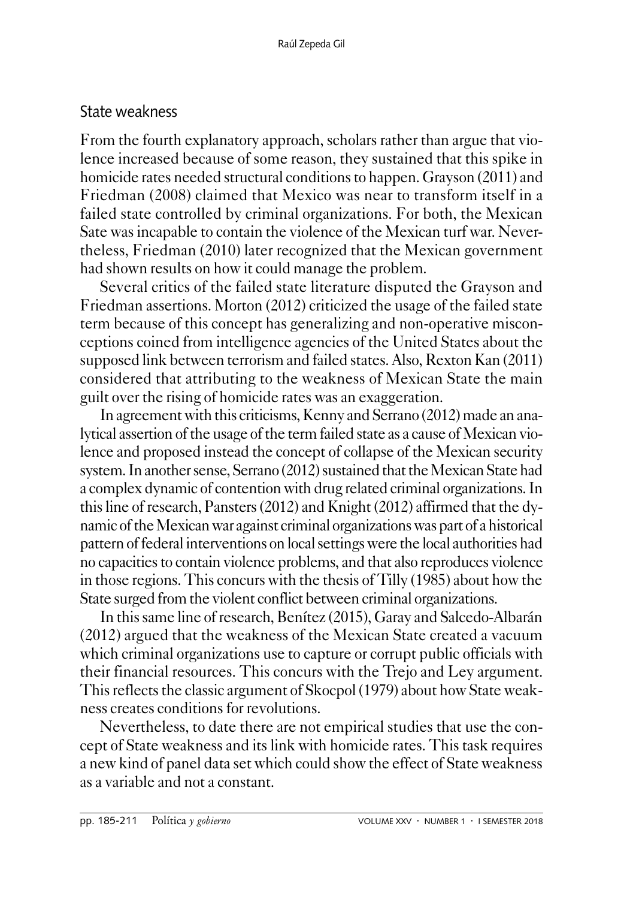### State weakness

From the fourth explanatory approach, scholars rather than argue that violence increased because of some reason, they sustained that this spike in homicide rates needed structural conditions to happen. Grayson (2011) and Friedman (2008) claimed that Mexico was near to transform itself in a failed state controlled by criminal organizations. For both, the Mexican Sate was incapable to contain the violence of the Mexican turf war. Nevertheless, Friedman (2010) later recognized that the Mexican government had shown results on how it could manage the problem.

Several critics of the failed state literature disputed the Grayson and Friedman assertions. Morton (2012) criticized the usage of the failed state term because of this concept has generalizing and non-operative misconceptions coined from intelligence agencies of the United States about the supposed link between terrorism and failed states. Also, Rexton Kan (2011) considered that attributing to the weakness of Mexican State the main guilt over the rising of homicide rates was an exaggeration.

In agreement with this criticisms, Kenny and Serrano (2012) made an analytical assertion of the usage of the term failed state as a cause of Mexican violence and proposed instead the concept of collapse of the Mexican security system. In another sense, Serrano (2012) sustained that the Mexican State had a complex dynamic of contention with drug related criminal organizations. In this line of research, Pansters (2012) and Knight (2012) affirmed that the dynamic of the Mexican war against criminal organizations was part of a historical pattern of federal interventions on local settings were the local authorities had no capacities to contain violence problems, and that also reproduces violence in those regions. This concurs with the thesis of Tilly (1985) about how the State surged from the violent conflict between criminal organizations.

In this same line of research, Benítez (2015), Garay and Salcedo-Albarán (2012) argued that the weakness of the Mexican State created a vacuum which criminal organizations use to capture or corrupt public officials with their financial resources. This concurs with the Trejo and Ley argument. This reflects the classic argument of Skocpol (1979) about how State weakness creates conditions for revolutions.

Nevertheless, to date there are not empirical studies that use the concept of State weakness and its link with homicide rates. This task requires a new kind of panel data set which could show the effect of State weakness as a variable and not a constant.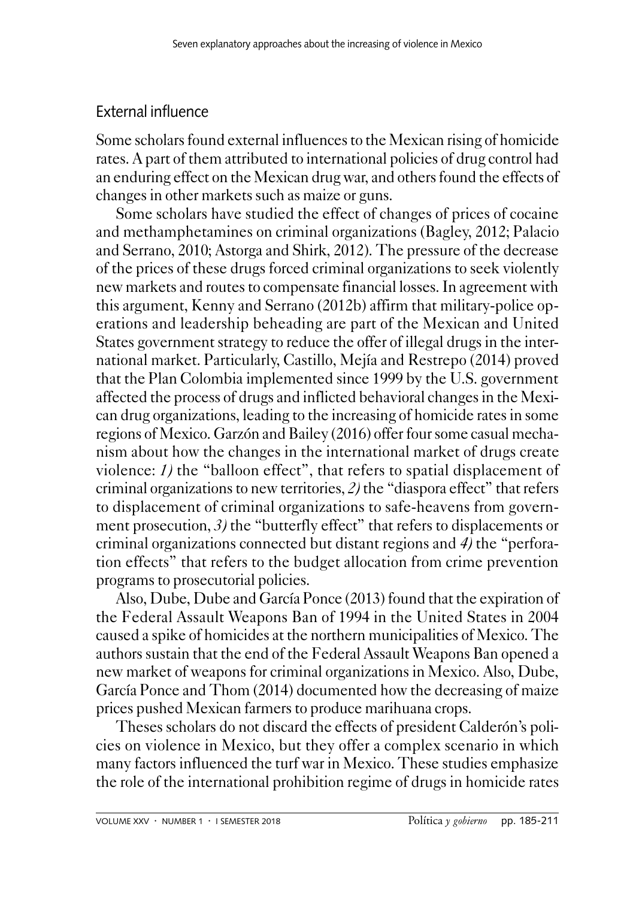# External influence

Some scholars found external influences to the Mexican rising of homicide rates. A part of them attributed to international policies of drug control had an enduring effect on the Mexican drug war, and others found the effects of changes in other markets such as maize or guns.

Some scholars have studied the effect of changes of prices of cocaine and methamphetamines on criminal organizations (Bagley, 2012; Palacio and Serrano, 2010; Astorga and Shirk, 2012). The pressure of the decrease of the prices of these drugs forced criminal organizations to seek violently new markets and routes to compensate financial losses. In agreement with this argument, Kenny and Serrano (2012b) affirm that military-police operations and leadership beheading are part of the Mexican and United States government strategy to reduce the offer of illegal drugs in the international market. Particularly, Castillo, Mejía and Restrepo (2014) proved that the Plan Colombia implemented since 1999 by the U.S. government affected the process of drugs and inflicted behavioral changes in the Mexican drug organizations, leading to the increasing of homicide rates in some regions of Mexico. Garzón and Bailey (2016) offer four some casual mechanism about how the changes in the international market of drugs create violence: *1)* the "balloon effect", that refers to spatial displacement of criminal organizations to new territories, *2)* the "diaspora effect" that refers to displacement of criminal organizations to safe-heavens from government prosecution, 3) the "butterfly effect" that refers to displacements or criminal organizations connected but distant regions and *4)* the "perforation effects" that refers to the budget allocation from crime prevention programs to prosecutorial policies.

Also, Dube, Dube and García Ponce (2013) found that the expiration of the Federal Assault Weapons Ban of 1994 in the United States in 2004 caused a spike of homicides at the northern municipalities of Mexico. The authors sustain that the end of the Federal Assault Weapons Ban opened a new market of weapons for criminal organizations in Mexico. Also, Dube, García Ponce and Thom (2014) documented how the decreasing of maize prices pushed Mexican farmers to produce marihuana crops.

Theses scholars do not discard the effects of president Calderón's policies on violence in Mexico, but they offer a complex scenario in which many factors influenced the turf war in Mexico. These studies emphasize the role of the international prohibition regime of drugs in homicide rates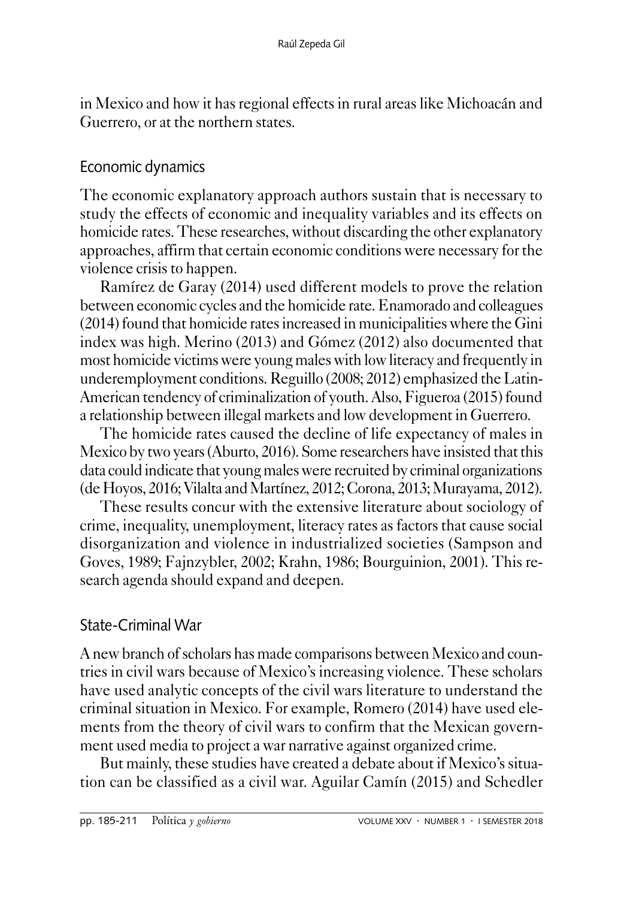in Mexico and how it has regional effects in rural areas like Michoacán and Guerrero, or at the northern states.

### Economic dynamics

The economic explanatory approach authors sustain that is necessary to study the effects of economic and inequality variables and its effects on homicide rates. These researches, without discarding the other explanatory approaches, affirm that certain economic conditions were necessary for the violence crisis to happen.

Ramírez de Garay (2014) used different models to prove the relation between economic cycles and the homicide rate. Enamorado and colleagues (2014) found that homicide rates increased in municipalities where the Gini index was high. Merino (2013) and Gómez (2012) also documented that most homicide victims were young males with low literacy and frequently in underemployment conditions. Reguillo (2008; 2012) emphasized the Latin-American tendency of criminalization of youth. Also, Figueroa (2015) found a relationship between illegal markets and low development in Guerrero.

The homicide rates caused the decline of life expectancy of males in Mexico by two years (Aburto, 2016). Some researchers have insisted that this data could indicate that young males were recruited by criminal organizations (de Hoyos, 2016; Vilalta and Martínez, 2012; Corona, 2013; Murayama, 2012).

These results concur with the extensive literature about sociology of crime, inequality, unemployment, literacy rates as factors that cause social disorganization and violence in industrialized societies (Sampson and Goves, 1989; Fajnzybler, 2002; Krahn, 1986; Bourguinion, 2001). This research agenda should expand and deepen.

# State-Criminal War

A new branch of scholars has made comparisons between Mexico and countries in civil wars because of Mexico's increasing violence. These scholars have used analytic concepts of the civil wars literature to understand the criminal situation in Mexico. For example, Romero (2014) have used elements from the theory of civil wars to confirm that the Mexican government used media to project a war narrative against organized crime.

But mainly, these studies have created a debate about if Mexico's situation can be classified as a civil war. Aguilar Camín (2015) and Schedler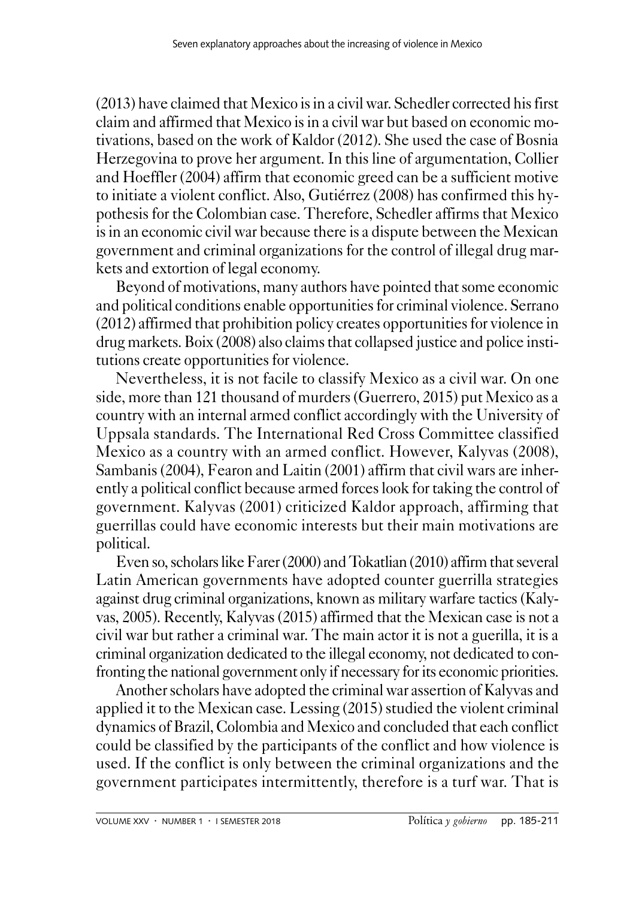(2013) have claimed that Mexico is in a civil war. Schedler corrected his first claim and affirmed that Mexico is in a civil war but based on economic motivations, based on the work of Kaldor (2012). She used the case of Bosnia Herzegovina to prove her argument. In this line of argumentation, Collier and Hoeffler (2004) affirm that economic greed can be a sufficient motive to initiate a violent conflict. Also, Gutiérrez (2008) has confirmed this hypothesis for the Colombian case. Therefore, Schedler affirms that Mexico is in an economic civil war because there is a dispute between the Mexican government and criminal organizations for the control of illegal drug markets and extortion of legal economy.

Beyond of motivations, many authors have pointed that some economic and political conditions enable opportunities for criminal violence. Serrano (2012) affirmed that prohibition policy creates opportunities for violence in drug markets. Boix (2008) also claims that collapsed justice and police institutions create opportunities for violence.

Nevertheless, it is not facile to classify Mexico as a civil war. On one side, more than 121 thousand of murders (Guerrero, 2015) put Mexico as a country with an internal armed conflict accordingly with the University of Uppsala standards. The International Red Cross Committee classified Mexico as a country with an armed conflict. However, Kalyvas (2008), Sambanis (2004), Fearon and Laitin (2001) affirm that civil wars are inherently a political conflict because armed forces look for taking the control of government. Kalyvas (2001) criticized Kaldor approach, affirming that guerrillas could have economic interests but their main motivations are political.

Even so, scholars like Farer (2000) and Tokatlian (2010) affirm that several Latin American governments have adopted counter guerrilla strategies against drug criminal organizations, known as military warfare tactics (Kalyvas, 2005). Recently, Kalyvas (2015) affirmed that the Mexican case is not a civil war but rather a criminal war. The main actor it is not a guerilla, it is a criminal organization dedicated to the illegal economy, not dedicated to confronting the national government only if necessary for its economic priorities.

Another scholars have adopted the criminal war assertion of Kalyvas and applied it to the Mexican case. Lessing (2015) studied the violent criminal dynamics of Brazil, Colombia and Mexico and concluded that each conflict could be classified by the participants of the conflict and how violence is used. If the conflict is only between the criminal organizations and the government participates intermittently, therefore is a turf war. That is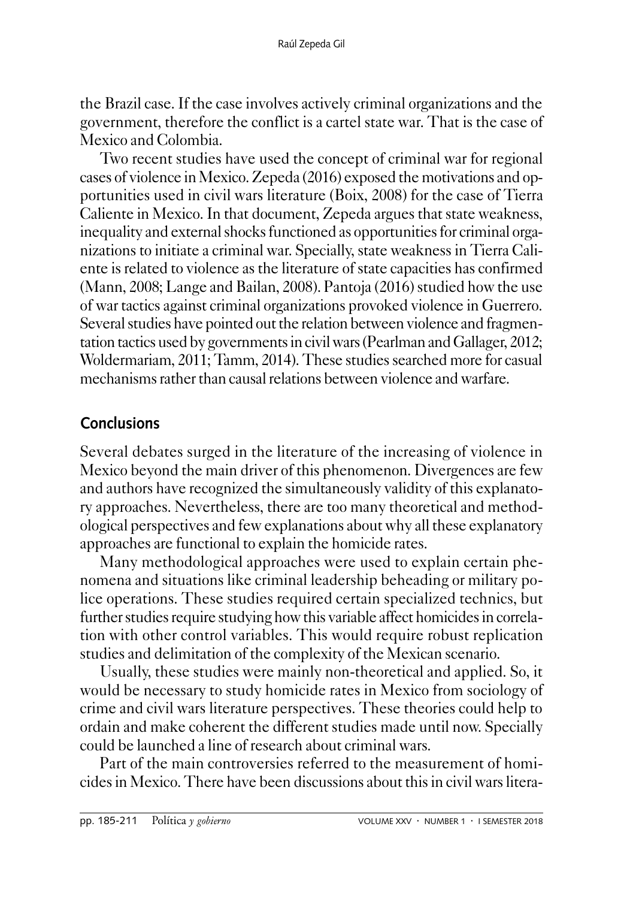the Brazil case. If the case involves actively criminal organizations and the government, therefore the conflict is a cartel state war. That is the case of Mexico and Colombia.

Two recent studies have used the concept of criminal war for regional cases of violence in Mexico. Zepeda (2016) exposed the motivations and opportunities used in civil wars literature (Boix, 2008) for the case of Tierra Caliente in Mexico. In that document, Zepeda argues that state weakness, inequality and external shocks functioned as opportunities for criminal organizations to initiate a criminal war. Specially, state weakness in Tierra Caliente is related to violence as the literature of state capacities has confirmed (Mann, 2008; Lange and Bailan, 2008). Pantoja (2016) studied how the use of war tactics against criminal organizations provoked violence in Guerrero. Several studies have pointed out the relation between violence and fragmentation tactics used by governments in civil wars (Pearlman and Gallager, 2012; Woldermariam, 2011; Tamm, 2014). These studies searched more for casual mechanisms rather than causal relations between violence and warfare.

# **Conclusions**

Several debates surged in the literature of the increasing of violence in Mexico beyond the main driver of this phenomenon. Divergences are few and authors have recognized the simultaneously validity of this explanatory approaches. Nevertheless, there are too many theoretical and methodological perspectives and few explanations about why all these explanatory approaches are functional to explain the homicide rates.

Many methodological approaches were used to explain certain phenomena and situations like criminal leadership beheading or military police operations. These studies required certain specialized technics, but further studies require studying how this variable affect homicides in correlation with other control variables. This would require robust replication studies and delimitation of the complexity of the Mexican scenario.

Usually, these studies were mainly non-theoretical and applied. So, it would be necessary to study homicide rates in Mexico from sociology of crime and civil wars literature perspectives. These theories could help to ordain and make coherent the different studies made until now. Specially could be launched a line of research about criminal wars.

Part of the main controversies referred to the measurement of homicides in Mexico. There have been discussions about this in civil wars litera-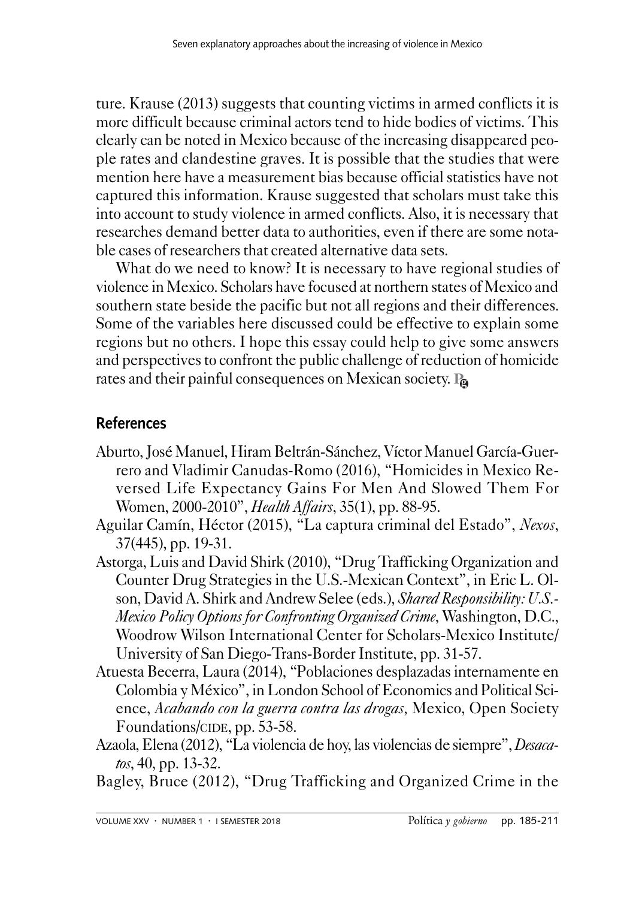ture. Krause (2013) suggests that counting victims in armed conflicts it is more difficult because criminal actors tend to hide bodies of victims. This clearly can be noted in Mexico because of the increasing disappeared people rates and clandestine graves. It is possible that the studies that were mention here have a measurement bias because official statistics have not captured this information. Krause suggested that scholars must take this into account to study violence in armed conflicts. Also, it is necessary that researches demand better data to authorities, even if there are some notable cases of researchers that created alternative data sets.

What do we need to know? It is necessary to have regional studies of violence in Mexico. Scholars have focused at northern states of Mexico and southern state beside the pacific but not all regions and their differences. Some of the variables here discussed could be effective to explain some regions but no others. I hope this essay could help to give some answers and perspectives to confront the public challenge of reduction of homicide rates and their painful consequences on Mexican society. **Pg**

# **References**

- Aburto, José Manuel, Hiram Beltrán-Sánchez, Víctor Manuel García-Guerrero and Vladimir Canudas-Romo (2016), "Homicides in Mexico Reversed Life Expectancy Gains For Men And Slowed Them For Women, 2000-2010", *Health Affairs*, 35(1), pp. 88-95.
- Aguilar Camín, Héctor (2015), "La captura criminal del Estado", *Nexos*, 37(445), pp. 19-31.
- Astorga, Luis and David Shirk (2010), "Drug Trafficking Organization and Counter Drug Strategies in the U.S.-Mexican Context", in Eric L. Olson, David A. Shirk and Andrew Selee (eds.), *Shared Responsibility: U.S.- Mexico Policy Options for Confronting Organized Crime*, Washington, D.C., Woodrow Wilson International Center for Scholars-Mexico Institute/ University of San Diego-Trans-Border Institute, pp. 31-57.
- Atuesta Becerra, Laura (2014), "Poblaciones desplazadas internamente en Colombia y México", in London School of Economics and Political Science, *Acabando con la guerra contra las drogas,* Mexico, Open Society Foundations/CIDE, pp. 53-58.
- Azaola, Elena (2012), "La violencia de hoy, las violencias de siempre", *Desacatos*, 40, pp. 13-32.
- Bagley, Bruce (2012), "Drug Trafficking and Organized Crime in the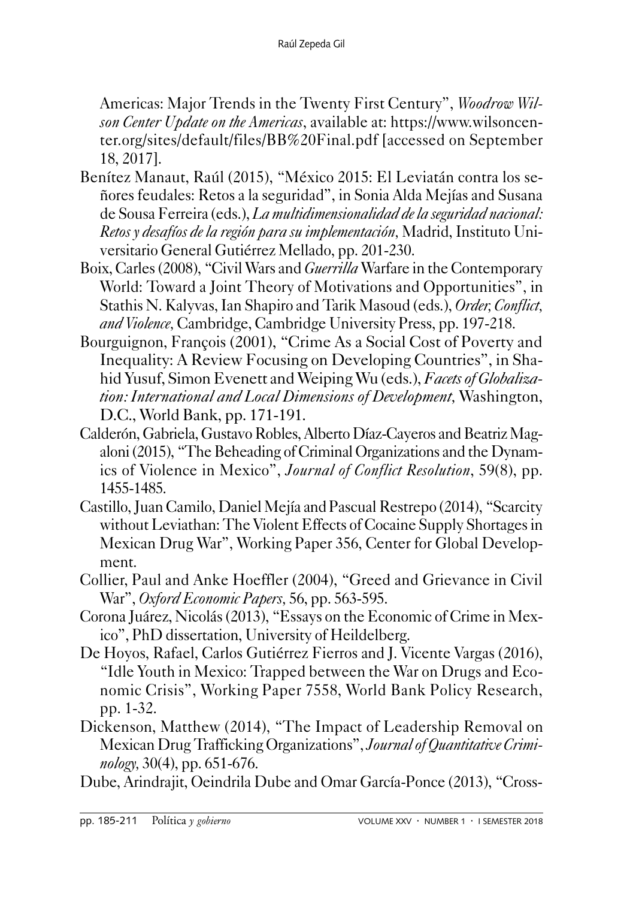Americas: Major Trends in the Twenty First Century", *Woodrow Wilson Center Update on the Americas*, available at: https://www.wilsoncenter.org/sites/default/files/BB%20Final.pdf [accessed on September 18, 2017].

- Benítez Manaut, Raúl (2015), "México 2015: El Leviatán contra los señores feudales: Retos a la seguridad", in Sonia Alda Mejías and Susana de Sousa Ferreira (eds.), *La multidimensionalidad de la seguridad nacional: Retos y desafíos de la región para su implementación,* Madrid, Instituto Universitario General Gutiérrez Mellado, pp. 201-230.
- Boix, Carles (2008), "Civil Wars and *Guerrilla* Warfare in the Contemporary World: Toward a Joint Theory of Motivations and Opportunities", in Stathis N. Kalyvas, Ian Shapiro and Tarik Masoud (eds.), *Order, Conflict, and Violence,* Cambridge, Cambridge University Press, pp. 197-218.
- Bourguignon, François (2001), "Crime As a Social Cost of Poverty and Inequality: A Review Focusing on Developing Countries", in Shahid Yusuf, Simon Evenett and Weiping Wu (eds.), *Facets of Globalization: International and Local Dimensions of Development,* Washington, D.C., World Bank, pp. 171-191.
- Calderón, Gabriela, Gustavo Robles, Alberto Díaz-Cayeros and Beatriz Magaloni (2015), "The Beheading of Criminal Organizations and the Dynamics of Violence in Mexico", *Journal of Conflict Resolution*, 59(8), pp. 1455-1485.
- Castillo, Juan Camilo, Daniel Mejía and Pascual Restrepo (2014), "Scarcity without Leviathan: The Violent Effects of Cocaine Supply Shortages in Mexican Drug War", Working Paper 356, Center for Global Development.
- Collier, Paul and Anke Hoeffler (2004), "Greed and Grievance in Civil War", *Oxford Economic Papers,* 56, pp. 563-595.
- Corona Juárez, Nicolás (2013), "Essays on the Economic of Crime in Mexico", PhD dissertation, University of Heildelberg.
- De Hoyos, Rafael, Carlos Gutiérrez Fierros and J. Vicente Vargas (2016), "Idle Youth in Mexico: Trapped between the War on Drugs and Economic Crisis", Working Paper 7558, World Bank Policy Research, pp. 1-32.
- Dickenson, Matthew (2014), "The Impact of Leadership Removal on Mexican Drug Trafficking Organizations", *Journal of Quantitative Criminology,* 30(4), pp. 651-676.
- Dube, Arindrajit, Oeindrila Dube and Omar García-Ponce (2013), "Cross-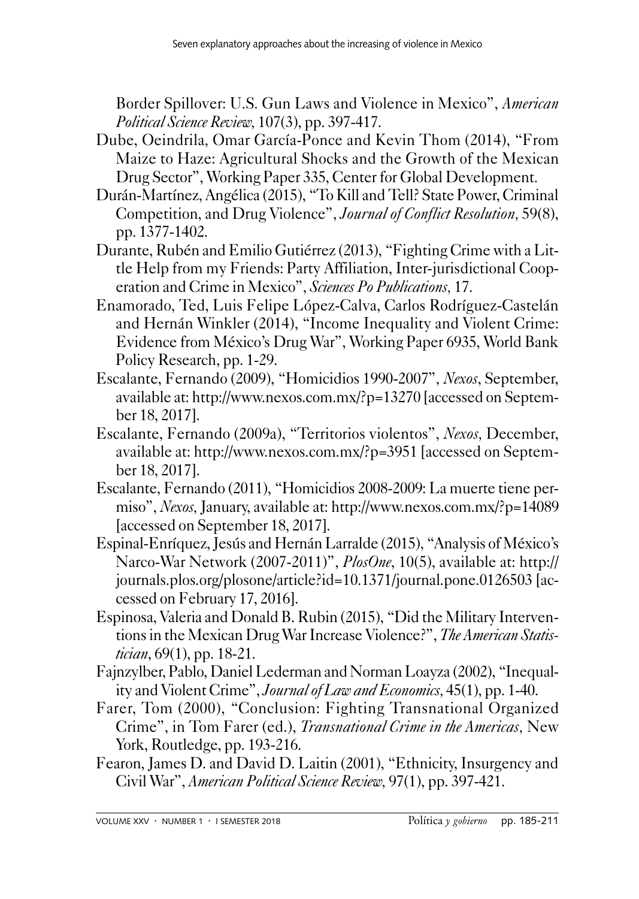Border Spillover: U.S. Gun Laws and Violence in Mexico", *American Political Science Review,* 107(3), pp. 397-417.

- Dube, Oeindrila, Omar García-Ponce and Kevin Thom (2014), "From Maize to Haze: Agricultural Shocks and the Growth of the Mexican Drug Sector", Working Paper 335, Center for Global Development.
- Durán-Martínez, Angélica (2015), "To Kill and Tell? State Power, Criminal Competition, and Drug Violence", *Journal of Conflict Resolution,* 59(8), pp. 1377-1402.
- Durante, Rubén and Emilio Gutiérrez (2013), "Fighting Crime with a Little Help from my Friends: Party Affiliation, Inter-jurisdictional Cooperation and Crime in Mexico", *Sciences Po Publications,* 17.
- Enamorado, Ted, Luis Felipe López-Calva, Carlos Rodríguez-Castelán and Hernán Winkler (2014), "Income Inequality and Violent Crime: Evidence from México's Drug War", Working Paper 6935, World Bank Policy Research, pp. 1-29.
- Escalante, Fernando (2009), "Homicidios 1990-2007", *Nexos*, September, available at: http://www.nexos.com.mx/?p=13270 [accessed on September 18, 2017].
- Escalante, Fernando (2009a), "Territorios violentos", *Nexos,* December, available at: http://www.nexos.com.mx/?p=3951 [accessed on September 18, 2017].
- Escalante, Fernando (2011), "Homicidios 2008-2009: La muerte tiene permiso", *Nexos,* January, available at: http://www.nexos.com.mx/?p=14089 [accessed on September 18, 2017].
- Espinal-Enríquez, Jesús and Hernán Larralde (2015), "Analysis of México's Narco-War Network (2007-2011)", *PlosOne*, 10(5), available at: http:// journals.plos.org/plosone/article?id=10.1371/journal.pone.0126503 [accessed on February 17, 2016].
- Espinosa, Valeria and Donald B. Rubin (2015), "Did the Military Interventions in the Mexican Drug War Increase Violence?", *The American Statistician*, 69(1), pp. 18-21.
- Fajnzylber, Pablo, Daniel Lederman and Norman Loayza (2002), "Inequality and Violent Crime", *Journal of Law and Economics,* 45(1), pp. 1-40.
- Farer, Tom (2000), "Conclusion: Fighting Transnational Organized Crime", in Tom Farer (ed.), *Transnational Crime in the Americas,* New York, Routledge, pp. 193-216.
- Fearon, James D. and David D. Laitin (2001), "Ethnicity, Insurgency and Civil War", *American Political Science Review,* 97(1), pp. 397-421.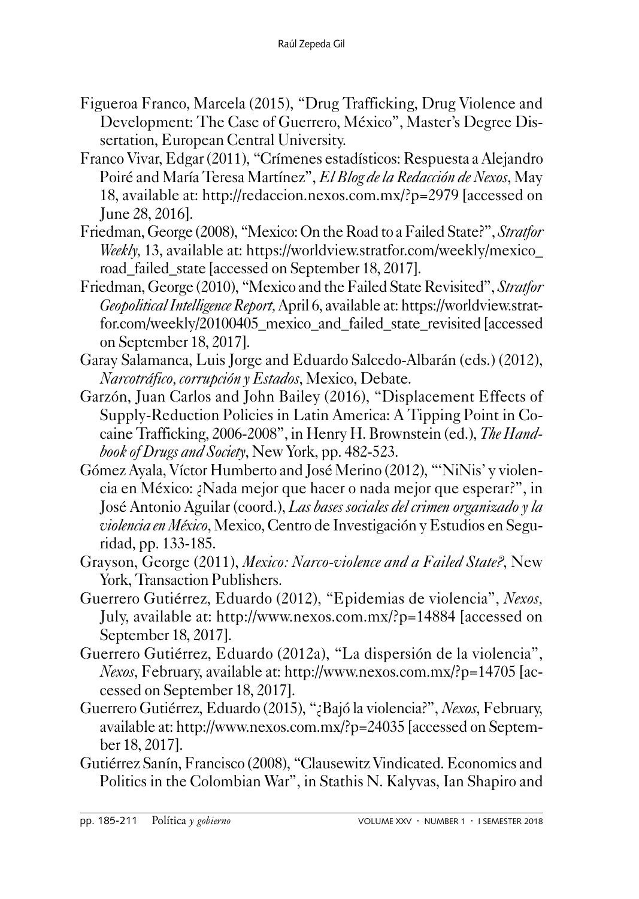- Figueroa Franco, Marcela (2015), "Drug Trafficking, Drug Violence and Development: The Case of Guerrero, México", Master's Degree Dissertation, European Central University.
- Franco Vivar, Edgar (2011), "Crímenes estadísticos: Respuesta a Alejandro Poiré and María Teresa Martínez", *El Blog de la Redacción de Nexos*, May 18, available at: http://redaccion.nexos.com.mx/?p=2979 [accessed on June 28, 2016].
- Friedman, George (2008), "Mexico: On the Road to a Failed State?",*Stratfor Weekly*, 13, available at: https://worldview.stratfor.com/weekly/mexico road failed state [accessed on September 18, 2017].
- Friedman, George (2010), "Mexico and the Failed State Revisited", *Stratfor Geopolitical Intelligence Report,* April 6, available at: https://worldview.stratfor.com/weekly/20100405\_mexico\_and\_failed\_state\_revisited [accessed on September 18, 2017].
- Garay Salamanca, Luis Jorge and Eduardo Salcedo-Albarán (eds.) (2012), *Narcotráfico, corrupción y Estados*, Mexico, Debate.
- Garzón, Juan Carlos and John Bailey (2016), "Displacement Effects of Supply-Reduction Policies in Latin America: A Tipping Point in Cocaine Trafficking, 2006-2008", in Henry H. Brownstein (ed.), *The Handbook of Drugs and Society*, New York, pp. 482-523.
- Gómez Ayala, Víctor Humberto and José Merino (2012), "'NiNis' y violencia en México: ¿Nada mejor que hacer o nada mejor que esperar?", in José Antonio Aguilar (coord.), *Las bases sociales del crimen organizado y la violencia en México*, Mexico, Centro de Investigación y Estudios en Seguridad, pp. 133-185.
- Grayson, George (2011), *Mexico: Narco-violence and a Failed State?*, New York, Transaction Publishers.
- Guerrero Gutiérrez, Eduardo (2012), "Epidemias de violencia", *Nexos,*  July, available at: http://www.nexos.com.mx/?p=14884 [accessed on September 18, 2017].
- Guerrero Gutiérrez, Eduardo (2012a), "La dispersión de la violencia", *Nexos*, February, available at: http://www.nexos.com.mx/?p=14705 [accessed on September 18, 2017].
- Guerrero Gutiérrez, Eduardo (2015), "¿Bajó la violencia?", *Nexos*, February, available at: http://www.nexos.com.mx/?p=24035 [accessed on September 18, 2017].
- Gutiérrez Sanín, Francisco (2008), "Clausewitz Vindicated. Economics and Politics in the Colombian War", in Stathis N. Kalyvas, Ian Shapiro and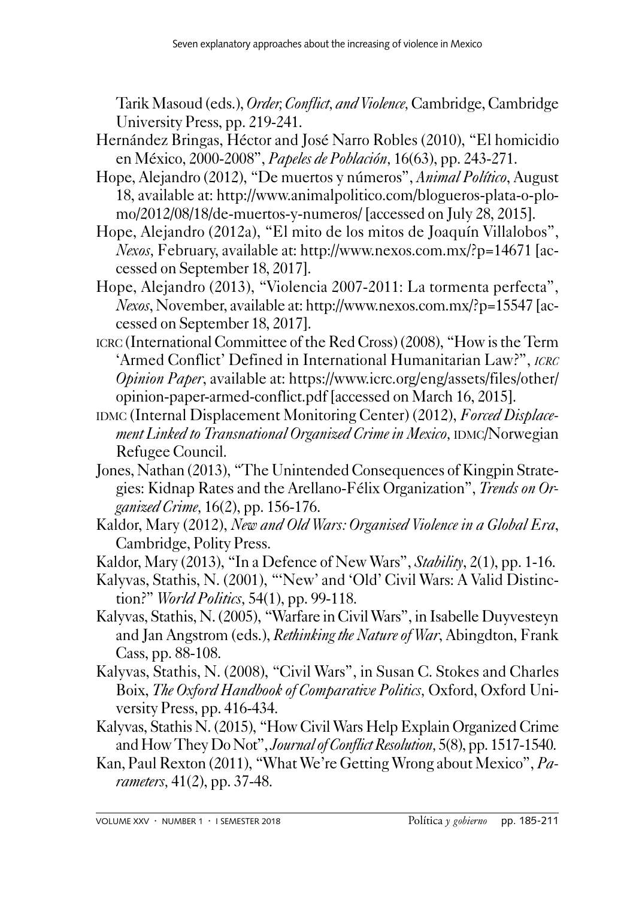Tarik Masoud (eds.), *Order, Conflict, and Violence,* Cambridge, Cambridge University Press, pp. 219-241.

- Hernández Bringas, Héctor and José Narro Robles (2010), "El homicidio en México, 2000-2008", *Papeles de Población,* 16(63), pp. 243-271.
- Hope, Alejandro (2012), "De muertos y números", *Animal Político*, August 18, available at: http://www.animalpolitico.com/blogueros-plata-o-plomo/2012/08/18/de-muertos-y-numeros/ [accessed on July 28, 2015].
- Hope, Alejandro (2012a), "El mito de los mitos de Joaquín Villalobos", *Nexos,* February, available at: http://www.nexos.com.mx/?p=14671 [accessed on September 18, 2017].
- Hope, Alejandro (2013), "Violencia 2007-2011: La tormenta perfecta", *Nexos*, November, available at: http://www.nexos.com.mx/?p=15547 [accessed on September 18, 2017].
- icrc (International Committee of the Red Cross) (2008), "How is the Term 'Armed Conflict' Defined in International Humanitarian Law?", *icrc Opinion Paper*, available at: https://www.icrc.org/eng/assets/files/other/ opinion-paper-armed-conflict.pdf [accessed on March 16, 2015].
- IDMC (Internal Displacement Monitoring Center) (2012), *Forced Displacement Linked to Transnational Organized Crime in Mexico, IDMC/Norwegian* Refugee Council.
- Jones, Nathan (2013), "The Unintended Consequences of Kingpin Strategies: Kidnap Rates and the Arellano-Félix Organization", *Trends on Organized Crime,* 16(2), pp. 156-176.
- Kaldor, Mary (2012), *New and Old Wars: Organised Violence in a Global Era*, Cambridge, Polity Press.
- Kaldor, Mary (2013), "In a Defence of New Wars", *Stability*, 2(1), pp. 1-16.
- Kalyvas, Stathis, N. (2001), "'New' and 'Old' Civil Wars: A Valid Distinction?" *World Politics,* 54(1), pp. 99-118.
- Kalyvas, Stathis, N. (2005), "Warfare in Civil Wars", in Isabelle Duyvesteyn and Jan Angstrom (eds.), *Rethinking the Nature of War*, Abingdton, Frank Cass, pp. 88-108.
- Kalyvas, Stathis, N. (2008), "Civil Wars", in Susan C. Stokes and Charles Boix, *The Oxford Handbook of Comparative Politics,* Oxford, Oxford University Press, pp. 416-434.
- Kalyvas, Stathis N. (2015), "How Civil Wars Help Explain Organized Crime and How They Do Not", *Journal of Conflict Resolution,* 5(8), pp. 1517-1540.
- Kan, Paul Rexton (2011), "What We're Getting Wrong about Mexico", *Parameters,* 41(2), pp. 37-48.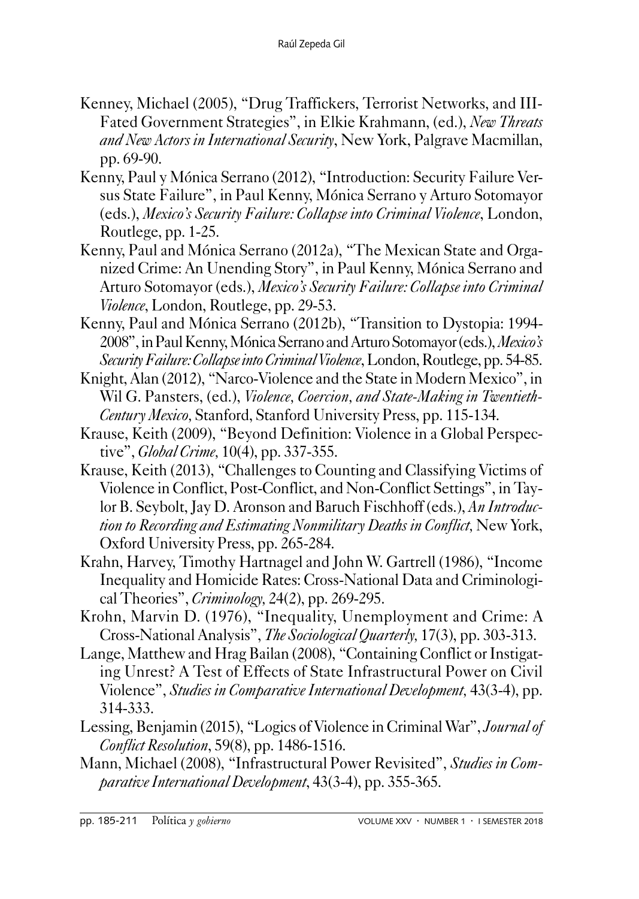- Kenney, Michael (2005), "Drug Traffickers, Terrorist Networks, and III-Fated Government Strategies", in Elkie Krahmann, (ed.), *New Threats and New Actors in International Security*, New York, Palgrave Macmillan, pp. 69-90.
- Kenny, Paul y Mónica Serrano (2012), "Introduction: Security Failure Versus State Failure", in Paul Kenny, Mónica Serrano y Arturo Sotomayor (eds.), *Mexico's Security Failure: Collapse into Criminal Violence*, London, Routlege, pp. 1-25.
- Kenny, Paul and Mónica Serrano (2012a), "The Mexican State and Organized Crime: An Unending Story", in Paul Kenny, Mónica Serrano and Arturo Sotomayor (eds.), *Mexico's Security Failure: Collapse into Criminal Violence*, London, Routlege, pp. 29-53.
- Kenny, Paul and Mónica Serrano (2012b), "Transition to Dystopia: 1994- 2008", in Paul Kenny, Mónica Serrano and Arturo Sotomayor (eds.), *Mexico's Security Failure: Collapse into Criminal Violence*, London, Routlege, pp. 54-85.
- Knight, Alan (2012), "Narco-Violence and the State in Modern Mexico", in Wil G. Pansters, (ed.), *Violence, Coercion, and State-Making in Twentieth-Century Mexico,* Stanford, Stanford University Press, pp. 115-134.
- Krause, Keith (2009), "Beyond Definition: Violence in a Global Perspective", *Global Crime,* 10(4), pp. 337-355.
- Krause, Keith (2013), "Challenges to Counting and Classifying Victims of Violence in Conflict, Post-Conflict, and Non-Conflict Settings", in Taylor B. Seybolt, Jay D. Aronson and Baruch Fischhoff (eds.), *An Introduction to Recording and Estimating Nonmilitary Deaths in Conflict,* New York, Oxford University Press, pp. 265-284.
- Krahn, Harvey, Timothy Hartnagel and John W. Gartrell (1986), "Income Inequality and Homicide Rates: Cross-National Data and Criminological Theories", *Criminology,* 24(2), pp. 269-295.
- Krohn, Marvin D. (1976), "Inequality, Unemployment and Crime: A Cross-National Analysis", *The Sociological Quarterly,* 17(3), pp. 303-313.
- Lange, Matthew and Hrag Bailan (2008), "Containing Conflict or Instigating Unrest? A Test of Effects of State Infrastructural Power on Civil Violence", *Studies in Comparative International Development,* 43(3-4), pp. 314-333.
- Lessing, Benjamin (2015), "Logics of Violence in Criminal War", *Journal of Conflict Resolution*, 59(8), pp. 1486-1516.
- Mann, Michael (2008), "Infrastructural Power Revisited", *Studies in Comparative International Development*, 43(3-4), pp. 355-365.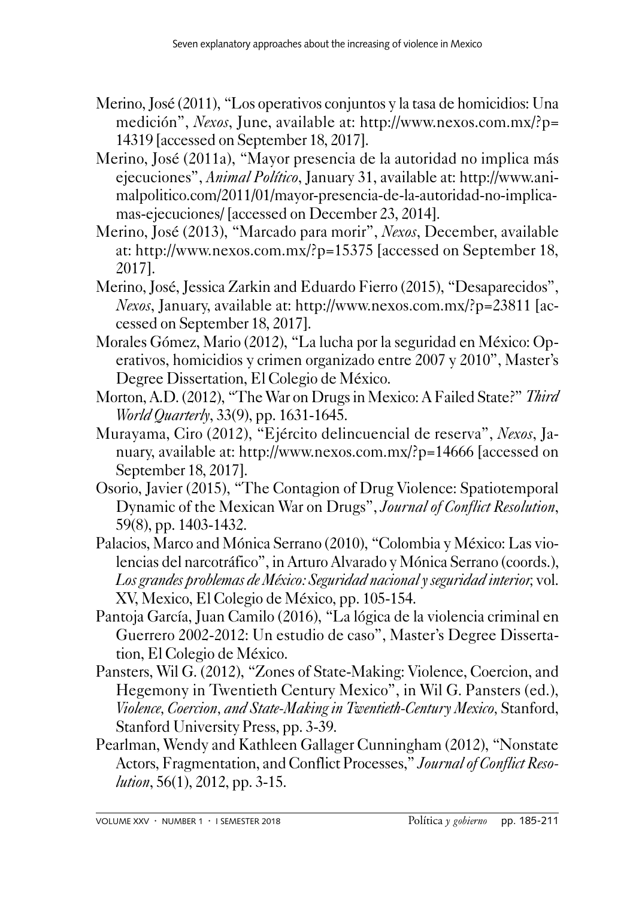- Merino, José (2011), "Los operativos conjuntos y la tasa de homicidios: Una medición", *Nexos*, June, available at: http://www.nexos.com.mx/?p= 14319 [accessed on September 18, 2017].
- Merino, José (2011a), "Mayor presencia de la autoridad no implica más ejecuciones", *Animal Político*, January 31, available at: http://www.animalpolitico.com/2011/01/mayor-presencia-de-la-autoridad-no-implicamas-ejecuciones/ [accessed on December 23, 2014].
- Merino, José (2013), "Marcado para morir", *Nexos*, December, available at: http://www.nexos.com.mx/?p=15375 [accessed on September 18, 2017].
- Merino, José, Jessica Zarkin and Eduardo Fierro (2015), "Desaparecidos", *Nexos*, January, available at: http://www.nexos.com.mx/?p=23811 [accessed on September 18, 2017].
- Morales Gómez, Mario (2012), "La lucha por la seguridad en México: Operativos, homicidios y crimen organizado entre 2007 y 2010", Master's Degree Dissertation, El Colegio de México.
- Morton, A.D. (2012), "The War on Drugs in Mexico: A Failed State?" *Third World Quarterly*, 33(9), pp. 1631-1645.
- Murayama, Ciro (2012), "Ejército delincuencial de reserva", *Nexos*, January, available at: http://www.nexos.com.mx/?p=14666 [accessed on September 18, 2017].
- Osorio, Javier (2015), "The Contagion of Drug Violence: Spatiotemporal Dynamic of the Mexican War on Drugs", *Journal of Conflict Resolution*, 59(8), pp. 1403-1432.
- Palacios, Marco and Mónica Serrano (2010), "Colombia y México: Las violencias del narcotráfico", in Arturo Alvarado y Mónica Serrano (coords.), *Los grandes problemas de México: Seguridad nacional y seguridad interior,* vol. XV, Mexico, El Colegio de México, pp. 105-154.
- Pantoja García, Juan Camilo (2016), "La lógica de la violencia criminal en Guerrero 2002-2012: Un estudio de caso", Master's Degree Dissertation, El Colegio de México.
- Pansters, Wil G. (2012), "Zones of State-Making: Violence, Coercion, and Hegemony in Twentieth Century Mexico", in Wil G. Pansters (ed.), *Violence, Coercion, and State-Making in Twentieth-Century Mexico,* Stanford, Stanford University Press, pp. 3-39.
- Pearlman, Wendy and Kathleen Gallager Cunningham (2012), "Nonstate Actors, Fragmentation, and Conflict Processes," *Journal of Conflict Resolution*, 56(1), 2012, pp. 3-15.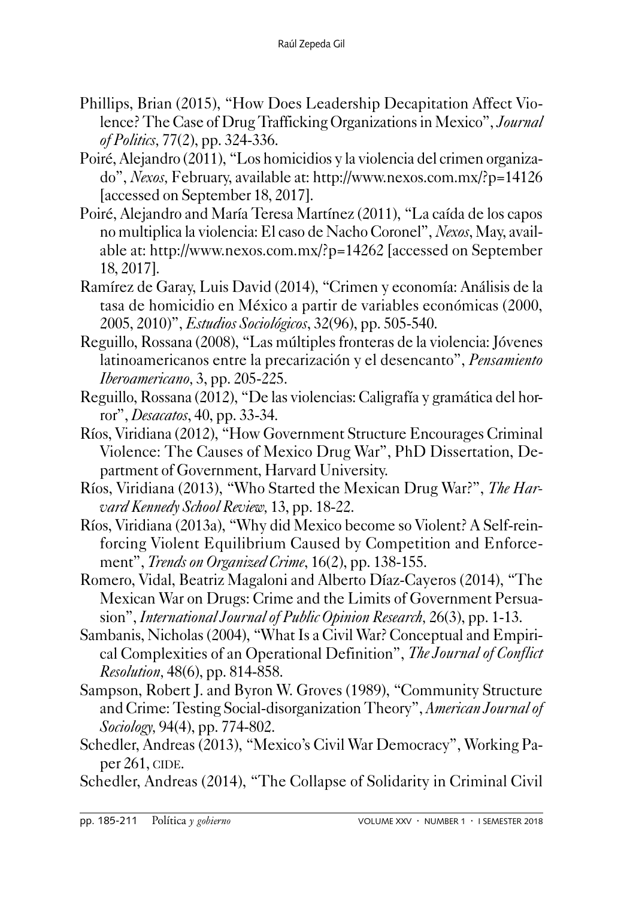- Phillips, Brian (2015), "How Does Leadership Decapitation Affect Violence? The Case of Drug Trafficking Organizations in Mexico", *Journal of Politics,* 77(2), pp. 324-336.
- Poiré, Alejandro (2011), "Los homicidios y la violencia del crimen organizado", *Nexos,* February, available at: http://www.nexos.com.mx/?p=14126 [accessed on September 18, 2017].
- Poiré, Alejandro and María Teresa Martínez (2011), "La caída de los capos no multiplica la violencia: El caso de Nacho Coronel", *Nexos*, May, available at: http://www.nexos.com.mx/?p=14262 [accessed on September 18, 2017].
- Ramírez de Garay, Luis David (2014), "Crimen y economía: Análisis de la tasa de homicidio en México a partir de variables económicas (2000, 2005, 2010)", *Estudios Sociológicos*, 32(96), pp. 505-540.
- Reguillo, Rossana (2008), "Las múltiples fronteras de la violencia: Jóvenes latinoamericanos entre la precarización y el desencanto", *Pensamiento Iberoamericano,* 3, pp. 205-225.
- Reguillo, Rossana (2012), "De las violencias: Caligrafía y gramática del horror", *Desacatos*, 40, pp. 33-34.
- Ríos, Viridiana (2012), "How Government Structure Encourages Criminal Violence: The Causes of Mexico Drug War", PhD Dissertation, Department of Government, Harvard University.
- Ríos, Viridiana (2013), "Who Started the Mexican Drug War?", *The Harvard Kennedy School Review,* 13, pp. 18-22.
- Ríos, Viridiana (2013a), "Why did Mexico become so Violent? A Self-reinforcing Violent Equilibrium Caused by Competition and Enforcement", *Trends on Organized Crime*, 16(2), pp. 138-155.
- Romero, Vidal, Beatriz Magaloni and Alberto Díaz-Cayeros (2014), "The Mexican War on Drugs: Crime and the Limits of Government Persuasion", *International Journal of Public Opinion Research,* 26(3), pp. 1-13.
- Sambanis, Nicholas (2004), "What Is a Civil War? Conceptual and Empirical Complexities of an Operational Definition", *The Journal of Conflict Resolution,* 48(6), pp. 814-858.
- Sampson, Robert J. and Byron W. Groves (1989), "Community Structure and Crime: Testing Social-disorganization Theory", *American Journal of Sociology,* 94(4), pp. 774-802.
- Schedler, Andreas (2013), "Mexico's Civil War Democracy", Working Paper  $261$ , CIDE.
- Schedler, Andreas (2014), "The Collapse of Solidarity in Criminal Civil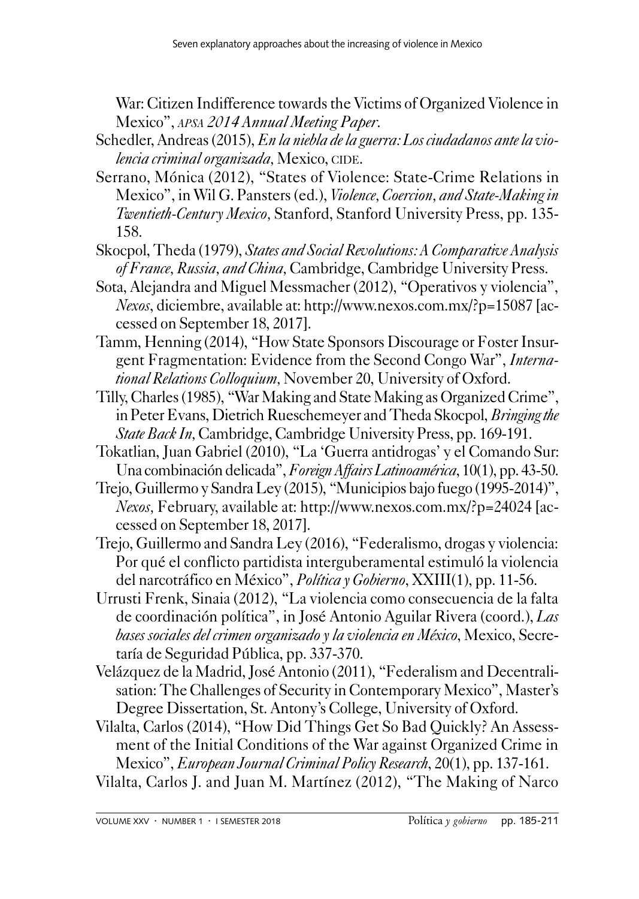War: Citizen Indifference towards the Victims of Organized Violence in Mexico", *apsa 2014 Annual Meeting Paper*.

- Schedler, Andreas (2015), *En la niebla de la guerra: Los ciudadanos ante la violencia criminal organizada*, Mexico, CIDE.
- Serrano, Mónica (2012), "States of Violence: State-Crime Relations in Mexico", in Wil G. Pansters (ed.), *Violence, Coercion, and State-Making in Twentieth-Century Mexico,* Stanford, Stanford University Press, pp. 135- 158.
- Skocpol, Theda (1979), *States and Social Revolutions: A Comparative Analysis of France, Russia, and China,* Cambridge, Cambridge University Press.
- Sota, Alejandra and Miguel Messmacher (2012), "Operativos y violencia", *Nexos*, diciembre, available at: http://www.nexos.com.mx/?p=15087 [accessed on September 18, 2017].
- Tamm, Henning (2014), "How State Sponsors Discourage or Foster Insurgent Fragmentation: Evidence from the Second Congo War", *International Relations Colloquium,* November 20, University of Oxford.
- Tilly, Charles (1985), "War Making and State Making as Organized Crime", in Peter Evans, Dietrich Rueschemeyer and Theda Skocpol, *Bringing the State Back In,* Cambridge, Cambridge University Press, pp. 169-191.
- Tokatlian, Juan Gabriel (2010), "La 'Guerra antidrogas' y el Comando Sur: Una combinación delicada",*Foreign Affairs Latinoamérica*, 10(1), pp. 43-50.
- Trejo, Guillermo y Sandra Ley (2015), "Municipios bajo fuego (1995-2014)", *Nexos,* February, available at: http://www.nexos.com.mx/?p=24024 [accessed on September 18, 2017].
- Trejo, Guillermo and Sandra Ley (2016), "Federalismo, drogas y violencia: Por qué el conflicto partidista interguberamental estimuló la violencia del narcotráfico en México", *Política y Gobierno*, XXIII(1), pp. 11-56.
- Urrusti Frenk, Sinaia (2012), "La violencia como consecuencia de la falta de coordinación política", in José Antonio Aguilar Rivera (coord.), *Las bases sociales del crimen organizado y la violencia en México*, Mexico, Secretaría de Seguridad Pública, pp. 337-370.
- Velázquez de la Madrid, José Antonio (2011), "Federalism and Decentralisation: The Challenges of Security in Contemporary Mexico", Master's Degree Dissertation, St. Antony's College, University of Oxford.
- Vilalta, Carlos (2014), "How Did Things Get So Bad Quickly? An Assessment of the Initial Conditions of the War against Organized Crime in Mexico", *European Journal Criminal Policy Research*, 20(1), pp. 137-161.
- Vilalta, Carlos J. and Juan M. Martínez (2012), "The Making of Narco